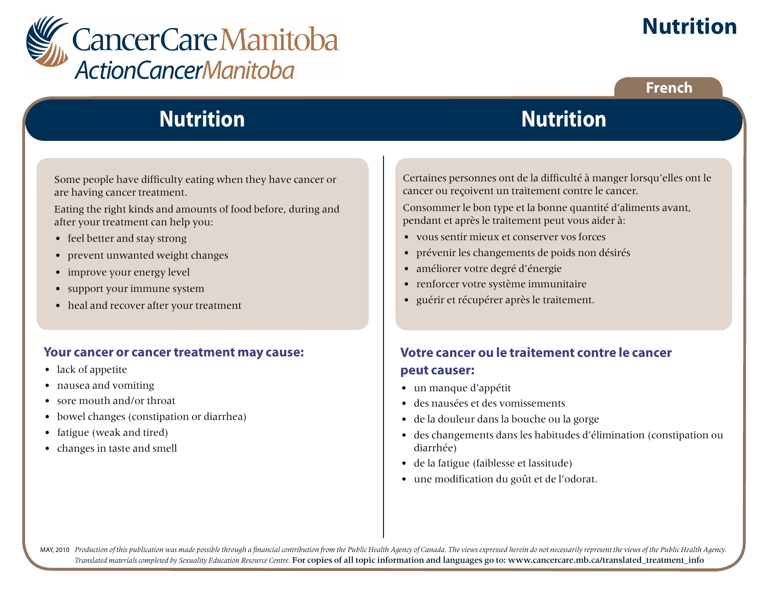

# **Nutrition**

## **French**

# **Nutrition**

Some people have difficulty eating when they have cancer or are having cancer treatment.

Eating the right kinds and amounts of food before, during and after your treatment can help you:

- feel better and stay strong
- prevent unwanted weight changes
- improve your energy level
- support your immune system
- heal and recover after your treatment

#### **Your cancer or cancer treatment may cause:**

- lack of appetite
- nausea and vomiting
- sore mouth and/or throat
- bowel changes (constipation or diarrhea)
- fatigue (weak and tired)
- changes in taste and smell

Certaines personnes ont de la difficulté à manger lorsqu'elles ont le cancer ou reçoivent un traitement contre le cancer.

**Nutrition**

Consommer le bon type et la bonne quantité d'aliments avant, pendant et après le traitement peut vous aider à:

- vous sentir mieux et conserver vos forces
- prévenir les changements de poids non désirés
- améliorer votre degré d'énergie
- renforcer votre système immunitaire
- guérir et récupérer après le traitement.

## **Votre cancer ou le traitement contre le cancer peut causer:**

- un manque d'appétit
- des nausées et des vomissements
- de la douleur dans la bouche ou la gorge
- des changements dans les habitudes d'élimination (constipation ou diarrhée)
- de la fatigue (faiblesse et lassitude)
- une modification du goût et de l'odorat.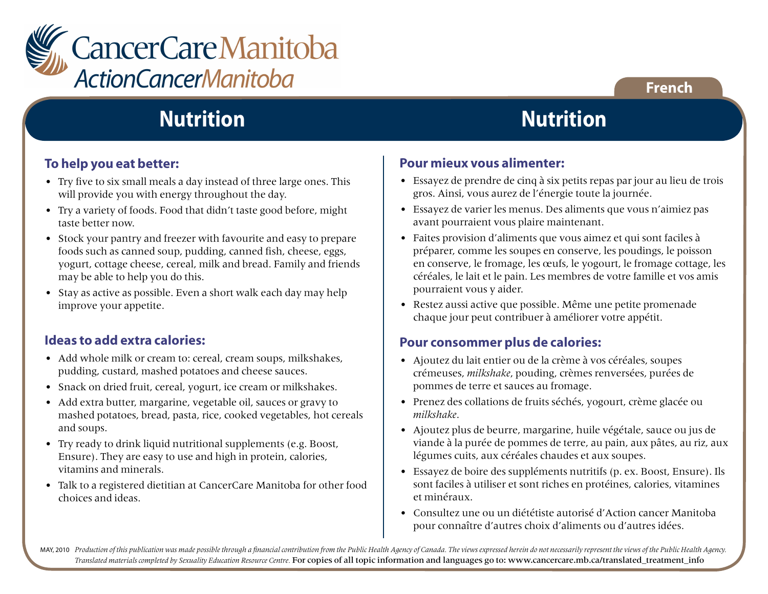

## **French**

# **Nutrition**

#### **To help you eat better:**

- Try five to six small meals a day instead of three large ones. This will provide you with energy throughout the day.
- Try a variety of foods. Food that didn't taste good before, might taste better now.
- Stock your pantry and freezer with favourite and easy to prepare foods such as canned soup, pudding, canned fish, cheese, eggs, yogurt, cottage cheese, cereal, milk and bread. Family and friends may be able to help you do this.
- Stay as active as possible. Even a short walk each day may help improve your appetite.

#### **Ideas to add extra calories:**

- Add whole milk or cream to: cereal, cream soups, milkshakes, pudding, custard, mashed potatoes and cheese sauces.
- Snack on dried fruit, cereal, yogurt, ice cream or milkshakes.
- Add extra butter, margarine, vegetable oil, sauces or gravy to mashed potatoes, bread, pasta, rice, cooked vegetables, hot cereals and soups.
- Try ready to drink liquid nutritional supplements (e.g. Boost, Ensure). They are easy to use and high in protein, calories, vitamins and minerals.
- Talk to a registered dietitian at CancerCare Manitoba for other food choices and ideas.

## **Nutrition**

#### **Pour mieux vous alimenter:**

- Essayez de prendre de cinq à six petits repas par jour au lieu de trois gros. Ainsi, vous aurez de l'énergie toute la journée.
- Essayez de varier les menus. Des aliments que vous n'aimiez pas avant pourraient vous plaire maintenant.
- Faites provision d'aliments que vous aimez et qui sont faciles à préparer, comme les soupes en conserve, les poudings, le poisson en conserve, le fromage, les œufs, le yogourt, le fromage cottage, les céréales, le lait et le pain. Les membres de votre famille et vos amis pourraient vous y aider.
- Restez aussi active que possible. Même une petite promenade chaque jour peut contribuer à améliorer votre appétit.

#### **Pour consommer plus de calories:**

- Ajoutez du lait entier ou de la crème à vos céréales, soupes crémeuses, *milkshake*, pouding, crèmes renversées, purées de pommes de terre et sauces au fromage.
- Prenez des collations de fruits séchés, yogourt, crème glacée ou *milkshake*.
- Ajoutez plus de beurre, margarine, huile végétale, sauce ou jus de viande à la purée de pommes de terre, au pain, aux pâtes, au riz, aux légumes cuits, aux céréales chaudes et aux soupes.
- Essayez de boire des suppléments nutritifs (p. ex. Boost, Ensure). Ils sont faciles à utiliser et sont riches en protéines, calories, vitamines et minéraux.
- Consultez une ou un diététiste autorisé d'Action cancer Manitoba pour connaître d'autres choix d'aliments ou d'autres idées.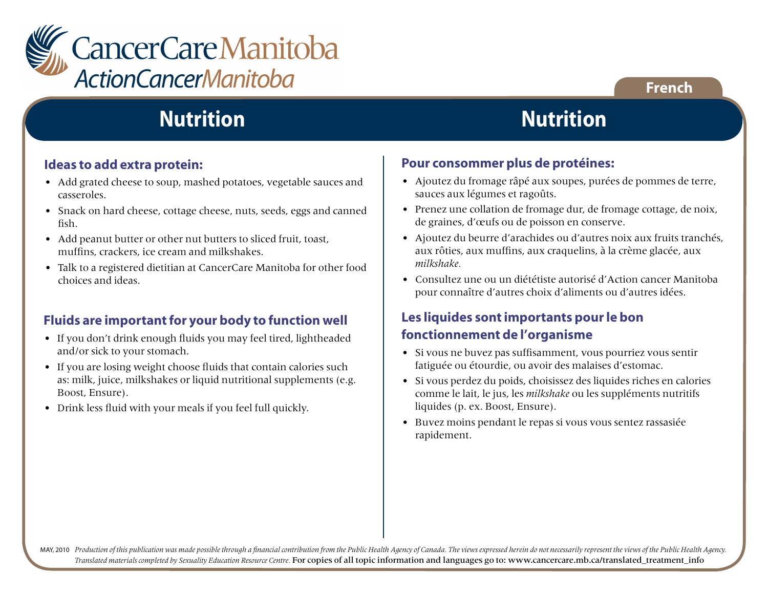

# **Nutrition**

#### **Ideas to add extra protein:**

- Add grated cheese to soup, mashed potatoes, vegetable sauces and casseroles.
- Snack on hard cheese, cottage cheese, nuts, seeds, eggs and canned fish.
- Add peanut butter or other nut butters to sliced fruit, toast, muffins, crackers, ice cream and milkshakes.
- Talk to a registered dietitian at CancerCare Manitoba for other food choices and ideas.

## **Fluids are important for your body to function well**

- If you don't drink enough fluids you may feel tired, lightheaded and/or sick to your stomach.
- If you are losing weight choose fluids that contain calories such as: milk, juice, milkshakes or liquid nutritional supplements (e.g. Boost, Ensure).
- Drink less fluid with your meals if you feel full quickly.

## **Nutrition**

**French**

#### **Pour consommer plus de protéines:**

- Ajoutez du fromage râpé aux soupes, purées de pommes de terre, sauces aux légumes et ragoûts.
- Prenez une collation de fromage dur, de fromage cottage, de noix, de graines, d'œufs ou de poisson en conserve.
- Ajoutez du beurre d'arachides ou d'autres noix aux fruits tranchés, aux rôties, aux muffins, aux craquelins, à la crème glacée, aux *milkshake.*
- Consultez une ou un diététiste autorisé d'Action cancer Manitoba pour connaître d'autres choix d'aliments ou d'autres idées.

## **Les liquides sont importants pour le bon fonctionnement de l'organisme**

- Si vous ne buvez pas suffisamment, vous pourriez vous sentir fatiguée ou étourdie, ou avoir des malaises d'estomac.
- Si vous perdez du poids, choisissez des liquides riches en calories comme le lait, le jus, les *milkshake* ou les suppléments nutritifs liquides (p. ex. Boost, Ensure).
- Buvez moins pendant le repas si vous vous sentez rassasiée rapidement.